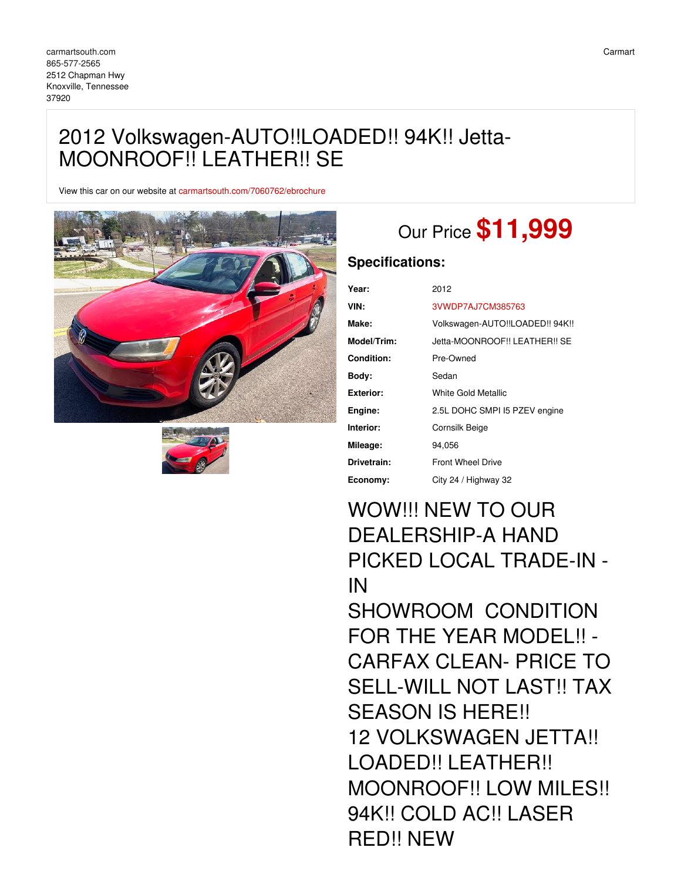# 2012 Volkswagen-AUTO!!LOADED!! 94K!! Jetta-MOONROOF!! LEATHER!! SE

View this car on our website at [carmartsouth.com/7060762/ebrochure](https://carmartsouth.com/vehicle/7060762/2012-volkswagen-auto-loaded-94k-jetta-moonroof-leather-se-knoxville-tennessee-37920/7060762/ebrochure)





# Our Price **\$11,999**

## **Specifications:**

| Year:             | 2012                            |
|-------------------|---------------------------------|
| VIN:              | 3VWDP7AJ7CM385763               |
| Make:             | Volkswagen-AUTO!!LOADED!! 94K!! |
| Model/Trim:       | Jetta-MOONROOF!! LEATHER!! SE   |
| <b>Condition:</b> | Pre-Owned                       |
| Body:             | Sedan                           |
| Exterior:         | White Gold Metallic             |
| Engine:           | 2.5L DOHC SMPI I5 PZEV engine   |
| Interior:         | Cornsilk Beige                  |
| Mileage:          | 94.056                          |
| Drivetrain:       | <b>Front Wheel Drive</b>        |
| Economy:          | City 24 / Highway 32            |

WOW!!! NEW TO OUR DEALERSHIP-A HAND PICKED LOCAL TRADE-IN - IN SHOWROOM CONDITION FOR THE YEAR MODEL!! - CARFAX CLEAN- PRICE TO SELL-WILL NOT LAST!! TAX SEASON IS HERE!! 12 VOLKSWAGEN JETTA!! LOADED!! LEATHER!! MOONROOF!! LOW MILES!! 94K!! COLD AC!! LASER RED!! NEW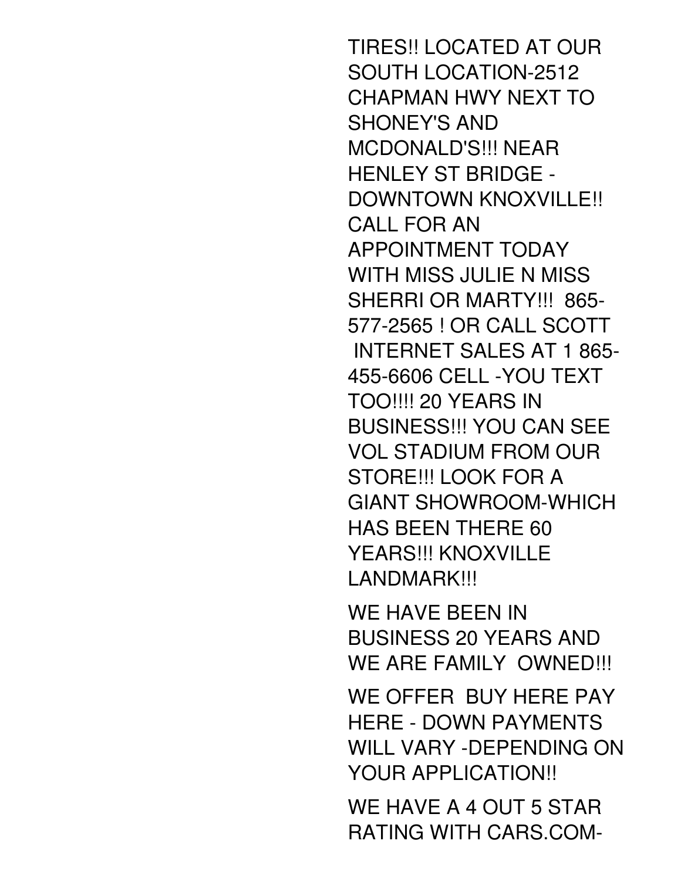TIRES!! LOCATED AT OUR SOUTH LOCATION-2512 CHAPMAN HWY NEXT TO SHONEY'S AND MCDONALD'S!!! NEAR HENLEY ST BRIDGE - DOWNTOWN KNOXVILLE!! CALL FOR AN APPOINTMENT TODAY WITH MISS JULIE N MISS SHERRI OR MARTY!!! 865- 577-2565 ! OR CALL SCOTT INTERNET SALES AT 1 865- 455-6606 CELL -YOU TEXT TOO!!!! 20 YEARS IN BUSINESS!!! YOU CAN SEE VOL STADIUM FROM OUR STORE!!! LOOK FOR A GIANT SHOWROOM-WHICH HAS BEEN THERE 60 YEARS!!! KNOXVILLE LANDMARK!!!

WE HAVE BEEN IN BUSINESS 20 YEARS AND WE ARE FAMILY OWNED!!!

WE OFFER BUY HERE PAY HERE - DOWN PAYMENTS WILL VARY -DEPENDING ON YOUR APPLICATION!!

WE HAVE A 4 OUT 5 STAR RATING WITH CARS.COM-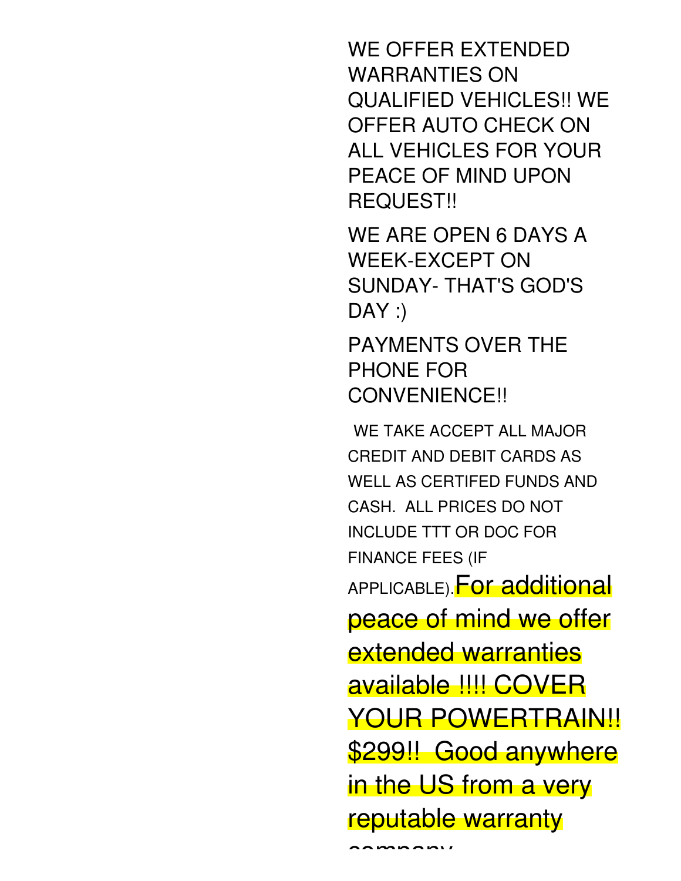WE OFFER EXTENDED WARRANTIES ON QUALIFIED VEHICLES!! WE OFFER AUTO CHECK ON ALL VEHICLES FOR YOUR PEACE OF MIND UPON REQUEST!!

WE ARE OPEN 6 DAYS A WEEK-EXCEPT ON SUNDAY- THAT'S GOD'S  $DAY:$ 

PAYMENTS OVER THE PHONE FOR CONVENIENCE!!

WE TAKE ACCEPT ALL MAJOR CREDIT AND DEBIT CARDS AS WELL AS CERTIFED FUNDS AND CASH. ALL PRICES DO NOT INCLUDE TTT OR DOC FOR FINANCE FEES (IF APPLICABLE). For additional peace of mind we offer extended warranties available !!!! COVER YOUR POWERTRAIN!! \$299!! Good anywhere in the US from a very reputable warranty

AAMAAAMI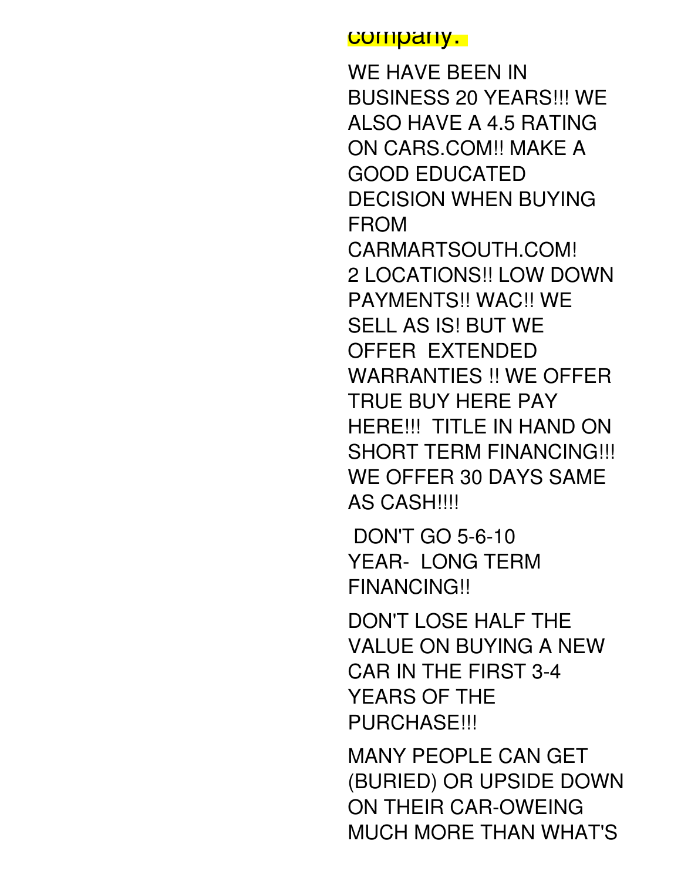## company.

WE HAVE BEEN IN BUSINESS 20 YEARS!!! WE ALSO HAVE A 4.5 RATING ON CARS.COM!! MAKE A GOOD EDUCATED DECISION WHEN BUYING FROM CARMARTSOUTH.COM! 2 LOCATIONS!! LOW DOWN PAYMENTS!! WAC!! WE SELL AS IS! BUT WE OFFER EXTENDED WARRANTIES !! WE OFFER TRUE BUY HERE PAY HERE!!! TITLE IN HAND ON SHORT TERM FINANCING!!! WE OFFER 30 DAYS SAME AS CASH!!!!

DON'T GO 5-6-10 YEAR- LONG TERM FINANCING!!

DON'T LOSE HALF THE VALUE ON BUYING A NEW CAR IN THE FIRST 3-4 YEARS OF THE **PURCHASE!!!** 

MANY PEOPLE CAN GET (BURIED) OR UPSIDE DOWN ON THEIR CAR-OWEING MUCH MORE THAN WHAT'S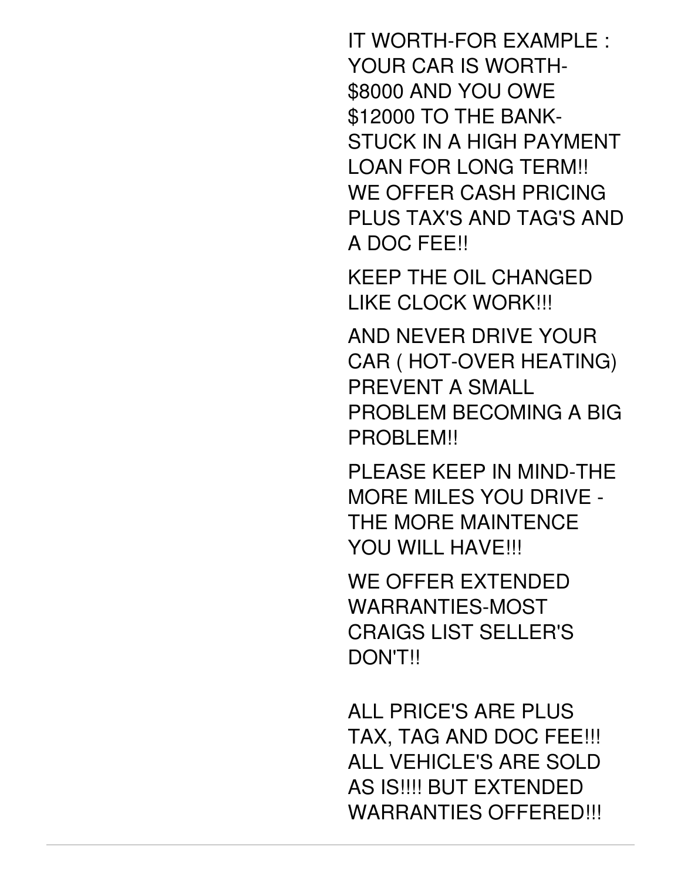IT WORTH-FOR EXAMPLE : YOUR CAR IS WORTH- \$8000 AND YOU OWE \$12000 TO THE BANK-STUCK IN A HIGH PAYMENT LOAN FOR LONG TERM!! WE OFFER CASH PRICING PLUS TAX'S AND TAG'S AND A DOC FEE!!

KEEP THE OIL CHANGED LIKE CLOCK WORK!!!

AND NEVER DRIVE YOUR CAR ( HOT-OVER HEATING) PREVENT A SMALL PROBLEM BECOMING A BIG PROBLEM!!

PLEASE KEEP IN MIND-THE MORE MILES YOU DRIVE - THE MORE MAINTENCE YOU WILL HAVE!!!

WE OFFER EXTENDED WARRANTIES-MOST CRAIGS LIST SELLER'S DON'T!!

ALL PRICE'S ARE PLUS TAX, TAG AND DOC FEE!!! ALL VEHICLE'S ARE SOLD AS IS!!!! BUT EXTENDED WARRANTIES OFFERED!!!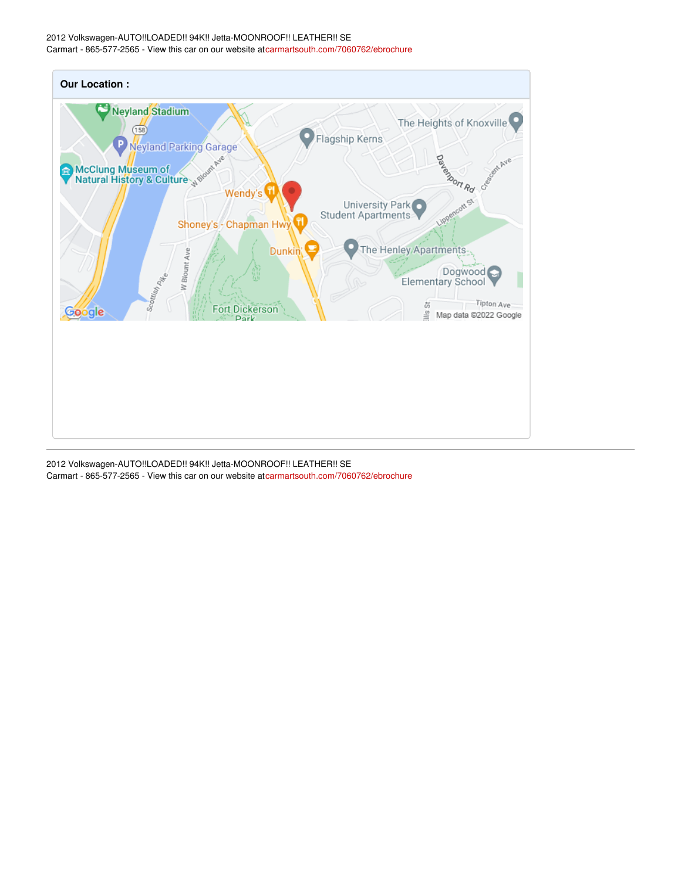### 2012 Volkswagen-AUTO!!LOADED!! 94K!! Jetta-MOONROOF!! LEATHER!! SE Carmart - 865-577-2565 - View this car on our website a[tcarmartsouth.com/7060762/ebrochure](https://carmartsouth.com/vehicle/7060762/2012-volkswagen-auto-loaded-94k-jetta-moonroof-leather-se-knoxville-tennessee-37920/7060762/ebrochure)



2012 Volkswagen-AUTO!!LOADED!! 94K!! Jetta-MOONROOF!! LEATHER!! SE Carmart - 865-577-2565 - View this car on our website a[tcarmartsouth.com/7060762/ebrochure](https://carmartsouth.com/vehicle/7060762/2012-volkswagen-auto-loaded-94k-jetta-moonroof-leather-se-knoxville-tennessee-37920/7060762/ebrochure)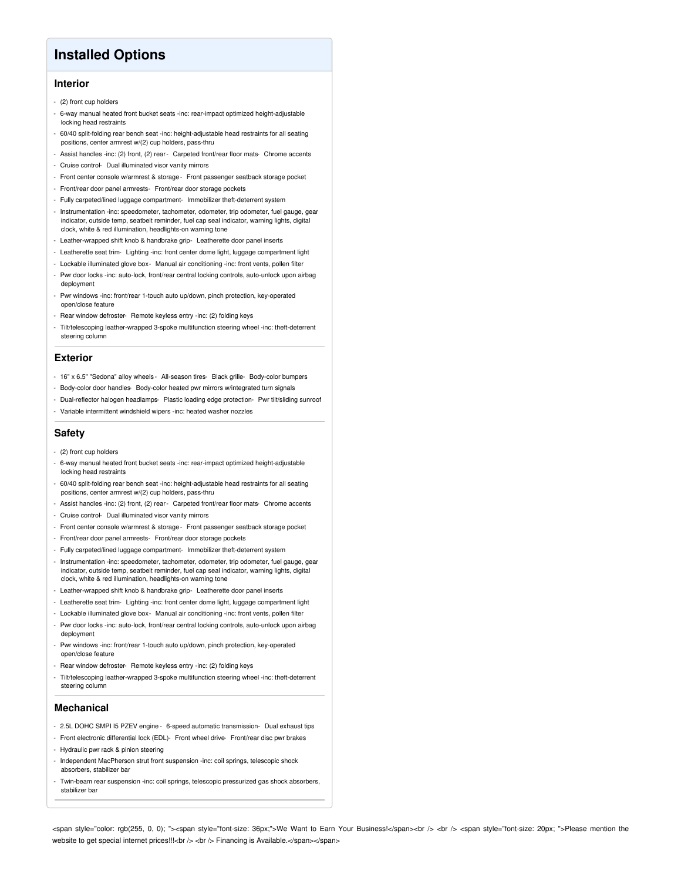## **Installed Options**

## **Interior**

- (2) front cup holders
- 6-way manual heated front bucket seats -inc: rear-impact optimized height-adjustable locking head restraints
- 60/40 split-folding rear bench seat -inc: height-adjustable head restraints for all seating positions, center armrest w/(2) cup holders, pass-thru
- Assist handles -inc: (2) front, (2) rear- Carpeted front/rear floor mats- Chrome accents
- Cruise control- Dual illuminated visor vanity mirrors
- Front center console w/armrest & storage- Front passenger seatback storage pocket
- Front/rear door panel armrests- Front/rear door storage pockets
- Fully carpeted/lined luggage compartment- Immobilizer theft-deterrent system
- Instrumentation -inc: speedometer, tachometer, odometer, trip odometer, fuel gauge, gear indicator, outside temp, seatbelt reminder, fuel cap seal indicator, warning lights, digital clock, white & red illumination, headlights-on warning tone
- Leather-wrapped shift knob & handbrake grip- Leatherette door panel inserts
- Leatherette seat trim- Lighting -inc: front center dome light, luggage compartment light
- Lockable illuminated glove box- Manual air conditioning -inc: front vents, pollen filter
- Pwr door locks -inc: auto-lock, front/rear central locking controls, auto-unlock upon airbag deployment
- Pwr windows -inc: front/rear 1-touch auto up/down, pinch protection, key-operated open/close feature
- Rear window defroster- Remote keyless entry -inc: (2) folding keys
- Tilt/telescoping leather-wrapped 3-spoke multifunction steering wheel -inc: theft-deterrent steering column

#### **Exterior**

- 16" x 6.5" "Sedona" alloy wheels All-season tires- Black grille- Body-color bumpers
- Body-color door handles- Body-color heated pwr mirrors w/integrated turn signals
- Dual-reflector halogen headlamps- Plastic loading edge protection- Pwr tilt/sliding sunroof
- Variable intermittent windshield wipers -inc: heated washer nozzles

## **Safety**

- (2) front cup holders
- 6-way manual heated front bucket seats -inc: rear-impact optimized height-adjustable locking head restraints
- 60/40 split-folding rear bench seat -inc: height-adjustable head restraints for all seating positions, center armrest w/(2) cup holders, pass-thru
- Assist handles -inc: (2) front, (2) rear- Carpeted front/rear floor mats- Chrome accents
- Cruise control- Dual illuminated visor vanity mirrors
- Front center console w/armrest & storage- Front passenger seatback storage pocket
- Front/rear door panel armrests- Front/rear door storage pockets
- Fully carpeted/lined luggage compartment- Immobilizer theft-deterrent system
- Instrumentation -inc: speedometer, tachometer, odometer, trip odometer, fuel gauge, gear indicator, outside temp, seatbelt reminder, fuel cap seal indicator, warning lights, digital clock, white & red illumination, headlights-on warning tone
- Leather-wrapped shift knob & handbrake grip- Leatherette door panel inserts
- Leatherette seat trim- Lighting -inc: front center dome light, luggage compartment light
- Lockable illuminated glove box- Manual air conditioning -inc: front vents, pollen filter
- Pwr door locks -inc: auto-lock, front/rear central locking controls, auto-unlock upon airbag deployment
- Pwr windows -inc: front/rear 1-touch auto up/down, pinch protection, key-operated open/close feature
- Rear window defroster- Remote keyless entry -inc: (2) folding keys
- Tilt/telescoping leather-wrapped 3-spoke multifunction steering wheel -inc: theft-deterrent steering column

### **Mechanical**

- 2.5L DOHC SMPI I5 PZEV engine 6-speed automatic transmission- Dual exhaust tips
- Front electronic differential lock (EDL)- Front wheel drive- Front/rear disc pwr brakes
- Hydraulic pwr rack & pinion steering
- Independent MacPherson strut front suspension -inc: coil springs, telescopic shock absorbers, stabilizer bar
- Twin-beam rear suspension -inc: coil springs, telescopic pressurized gas shock absorbers, stabilizer bar